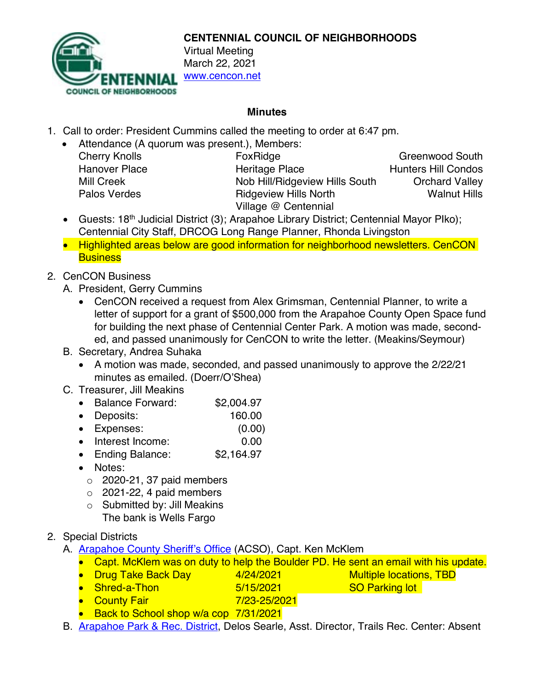

**CENTENNIAL COUNCIL OF NEIGHBORHOODS**

March 22, 2021 www.cencon.net

### **Minutes**

- 1. Call to order: President Cummins called the meeting to order at 6:47 pm.
	- Attendance (A quorum was present.), Members:

| <b>Cherry Knolls</b> |
|----------------------|
| Hanover Place        |
| Mill Creek           |
| <b>Palos Verdes</b>  |

FoxRidge Greenwood South Heritage Place Hunters Hill Condos Nob Hill/Ridgeview Hills South **Orchard Valley Ridgeview Hills North Walnut Hills** Village @ Centennial

- Guests: 18<sup>th</sup> Judicial District (3); Arapahoe Library District; Centennial Mayor Plko); Centennial City Staff, DRCOG Long Range Planner, Rhonda Livingston
- Highlighted areas below are good information for neighborhood newsletters. CenCON **Business**
- 2. CenCON Business
	- A. President, Gerry Cummins
		- CenCON received a request from Alex Grimsman, Centennial Planner, to write a letter of support for a grant of \$500,000 from the Arapahoe County Open Space fund for building the next phase of Centennial Center Park. A motion was made, seconded, and passed unanimously for CenCON to write the letter. (Meakins/Seymour)

### B. Secretary, Andrea Suhaka

• A motion was made, seconded, and passed unanimously to approve the 2/22/21 minutes as emailed. (Doerr/O'Shea)

# C. Treasurer, Jill Meakins

- Balance Forward: \$2,004.97
- Deposits: 160.00
- Expenses: (0.00)
- Interest Income: 0.00
- Ending Balance: \$2,164.97
- Notes:
	- $\circ$  2020-21, 37 paid members
	- $\circ$  2021-22, 4 paid members
	- o Submitted by: Jill Meakins The bank is Wells Fargo

# 2. Special Districts

- A. **[Arapahoe County Sheriff's Office](http://www.arapahoesheriff.org/)** (ACSO), Capt. Ken McKlem
	- Capt. McKlem was on duty to help the Boulder PD. He sent an email with his update.
	- Drug Take Back Day 4/24/2021 Multiple locations, TBD
	- Shred-a-Thon 5/15/2021 SO Parking lot
	- County Fair 7/23-25/2021
	- Back to School shop w/a cop 7/31/2021
- B. **Arapahoe Park & Rec. District**, Delos Searle, Asst. Director, Trails Rec. Center: Absent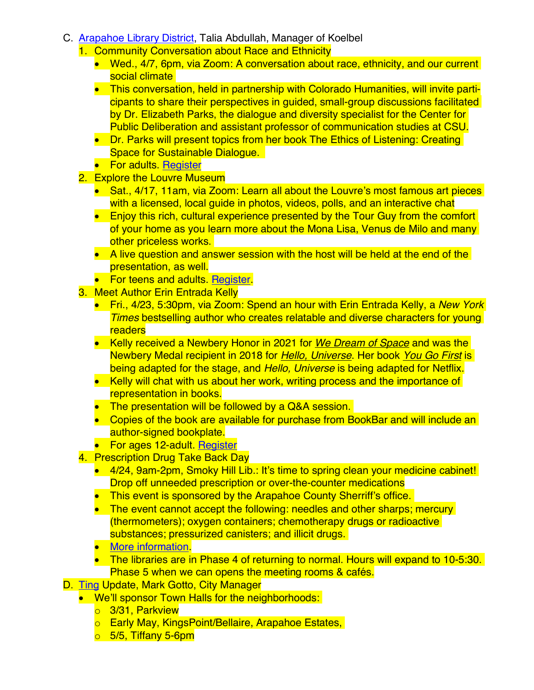- C. [Arapahoe Library District](https://arapahoelibraries.org/), Talia Abdullah, Manager of Koelbel
	- 1. Community Conversation about Race and Ethnicity
		- Wed., 4/7, 6pm, via Zoom: A conversation about race, ethnicity, and our current social climate
		- This conversation, held in partnership with Colorado Humanities, will invite participants to share their perspectives in guided, small-group discussions facilitated by Dr. Elizabeth Parks, the dialogue and diversity specialist for the Center for Public Deliberation and assistant professor of communication studies at CSU.
		- Dr. Parks will present topics from her book The Ethics of Listening: Creating Space for Sustainable Dialogue.
		- For adults. [Register](https://arapahoelibraries.bibliocommons.com/events/603d2d140fb0aa3a002736f7)
	- 2. Explore the Louvre Museum
		- Sat., 4/17, 11am, via Zoom: Learn all about the Louvre's most famous art pieces with a licensed, local quide in photos, videos, polls, and an interactive chat
		- Enjoy this rich, cultural experience presented by the Tour Guy from the comfort of your home as you learn more about the Mona Lisa, Venus de Milo and many other priceless works.
		- A live question and answer session with the host will be held at the end of the presentation, as well.
		- **For teens and adults. [Register.](https://arapahoelibraries.bibliocommons.com/events/603d2d530fb0aa3a00273708)**
	- 3. Meet Author Erin Entrada Kelly
		- Fri., 4/23, 5:30pm, via Zoom: Spend an hour with Erin Entrada Kelly, a *New York Times* bestselling author who creates relatable and diverse characters for young readers
		- Kelly received a Newbery Honor in 2021 for *We Dream of Space* and was the Newbery Medal recipient in 2018 for *Hello, Universe*. Her book *You Go First* is being adapted for the stage, and *Hello, Universe* is being adapted for Netflix.
		- Kelly will chat with us about her work, writing process and the importance of representation in books.
		- The presentation will be followed by a Q&A session.
		- Copies of the book are available for purchase from BookBar and will include an author-signed bookplate.
		- For ages 12-adult. [Register](https://arapahoelibraries.bibliocommons.com/events/603d2d6f720b6f2f0059807f)
	- 4. Prescription Drug Take Back Day
		- 4/24, 9am-2pm, Smoky Hill Lib.: It's time to spring clean your medicine cabinet! Drop off unneeded prescription or over-the-counter medications
		- This event is sponsored by the Arapahoe County Sherriff's office.
		- The event cannot accept the following: needles and other sharps; mercury (thermometers); oxygen containers; chemotherapy drugs or radioactive substances; pressurized canisters; and illicit drugs.
		- [More information.](https://arapahoelibraries.bibliocommons.com/events/604959d2b635ed4500a20b68)
		- The libraries are in Phase 4 of returning to normal. Hours will expand to 10-5:30. Phase 5 when we can opens the meeting rooms & cafés.
- D. [Ting](https://ting.com/) Update, Mark Gotto, City Manager
	- We'll sponsor Town Halls for the neighborhoods:
		- o 3/31, Parkview
		- o Early May, KingsPoint/Bellaire, Arapahoe Estates,
		- $\circ$  5/5, Tiffany 5-6pm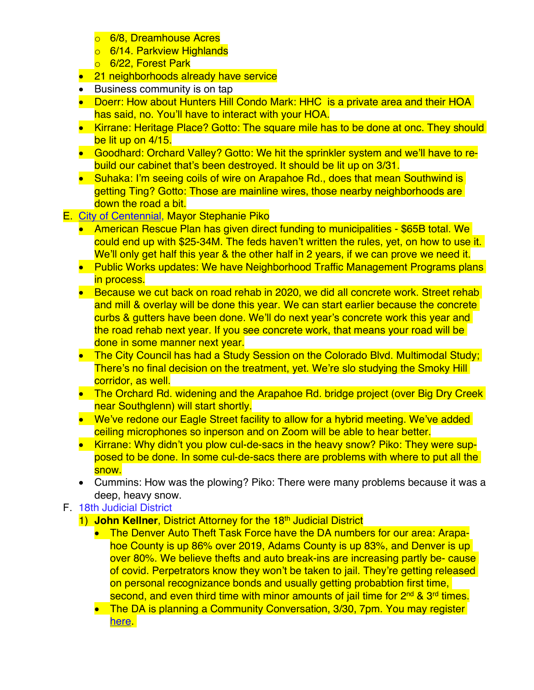- o 6/8, Dreamhouse Acres
- o 6/14. Parkview Highlands
- o 6/22, Forest Park
- 21 neighborhoods already have service
- Business community is on tap
- Doerr: How about Hunters Hill Condo Mark: HHC is a private area and their HOA has said, no. You'll have to interact with your HOA.
- Kirrane: Heritage Place? Gotto: The square mile has to be done at onc. They should be lit up on 4/15.
- Goodhard: Orchard Valley? Gotto: We hit the sprinkler system and we'll have to rebuild our cabinet that's been destroyed. It should be lit up on 3/31.
- Suhaka: I'm seeing coils of wire on Arapahoe Rd., does that mean Southwind is getting Ting? Gotto: Those are mainline wires, those nearby neighborhoods are down the road a bit.
- E. [City of Centennial,](https://www.centennialco.gov/Home) Mayor Stephanie Piko
	- American Rescue Plan has given direct funding to municipalities \$65B total. We could end up with \$25-34M. The feds haven't written the rules, yet, on how to use it. We'll only get half this year & the other half in 2 years, if we can prove we need it.
	- Public Works updates: We have Neighborhood Traffic Management Programs plans in process.
	- Because we cut back on road rehab in 2020, we did all concrete work. Street rehab and mill & overlay will be done this year. We can start earlier because the concrete curbs & gutters have been done. We'll do next year's concrete work this year and the road rehab next year. If you see concrete work, that means your road will be done in some manner next year.
	- The City Council has had a Study Session on the Colorado Blyd. Multimodal Study: There's no final decision on the treatment, yet. We're slo studying the Smoky Hill corridor, as well.
	- The Orchard Rd, widening and the Arapahoe Rd, bridge project (over Big Dry Creek near Southglenn) will start shortly.
	- We've redone our Eagle Street facility to allow for a hybrid meeting. We've added ceiling microphones so inperson and on Zoom will be able to hear better.
	- Kirrane: Why didn't you plow cul-de-sacs in the heavy snow? Piko: They were supposed to be done. In some cul-de-sacs there are problems with where to put all the snow.
	- Cummins: How was the plowing? Piko: There were many problems because it was a deep, heavy snow.

# F. [18th Judicial District](https://www.courts.state.co.us/Courts/District/Index.cfm?District_ID=18)

- 1) **John Kellner**, District Attorney for the 18<sup>th</sup> Judicial District
	- The Denver Auto Theft Task Force have the DA numbers for our area: Arapahoe County is up 86% over 2019, Adams County is up 83%, and Denver is up over 80%. We believe thefts and auto break-ins are increasing partly be- cause of covid. Perpetrators know they won't be taken to jail. They're getting released on personal recognizance bonds and usually getting probabtion first time, second, and even third time with minor amounts of jail time for 2<sup>nd</sup> & 3<sup>rd</sup> times.
	- The DA is planning a Community Conversation, 3/30, 7pm. You may register here **lette**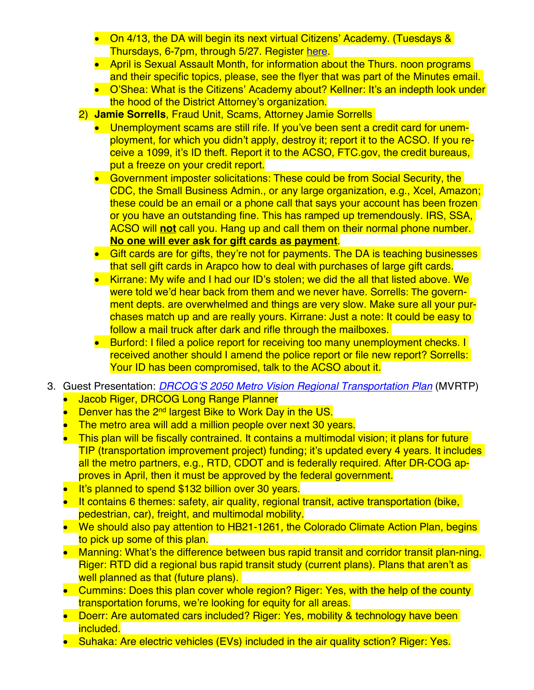- On 4/13, the DA will begin its next virtual Citizens' Academy. (Tuesdays & Thursdays, 6-7pm, through 5/27. Register [here.](https://www.da18.org/community-outreach/citizens-academy/)
- April is Sexual Assault Month, for information about the Thurs, noon programs and their specific topics, please, see the flyer that was part of the Minutes email.
- O'Shea: What is the Citizens' Academy about? Kellner: It's an indepth look under the hood of the District Attorney's organization.
- 2) **Jamie Sorrells**, Fraud Unit, Scams, Attorney Jamie Sorrells
	- Unemployment scams are still rife. If you've been sent a credit card for unemployment, for which you didn't apply, destroy it; report it to the ACSO. If you receive a 1099, it's ID theft. Report it to the ACSO, FTC.gov, the credit bureaus, put a freeze on your credit report.
	- Government imposter solicitations: These could be from Social Security, the CDC, the Small Business Admin., or any large organization, e.g., Xcel, Amazon; these could be an email or a phone call that says your account has been frozen or you have an outstanding fine. This has ramped up tremendously. IRS, SSA, ACSO will **not** call you. Hang up and call them on their normal phone number. **No one will ever ask for gift cards as payment**.
	- Gift cards are for gifts, they're not for payments. The DA is teaching businesses that sell gift cards in Arapco how to deal with purchases of large gift cards.
	- Kirrane: My wife and I had our ID's stolen; we did the all that listed above. We were told we'd hear back from them and we never have. Sorrells: The government depts. are overwhelmed and things are very slow. Make sure all your purchases match up and are really yours. Kirrane: Just a note: It could be easy to follow a mail truck after dark and rifle through the mailboxes.
	- Burford: I filed a police report for receiving too many unemployment checks. I received another should I amend the police report or file new report? Sorrells: Your ID has been compromised, talk to the ACSO about it.
- 3. Guest Presentation: *[DRCOG'S 2050 Metro Vision Regional Transportation Plan](https://drcog.org/sites/default/files/resources/DRCOG_2022-2025_TIP_Public_hearing_Draft.pdf)* (MVRTP)
	- Jacob Riger, DRCOG Long Range Planner
	- Denver has the 2nd largest Bike to Work Day in the US.
	- The metro area will add a million people over next 30 years.
	- This plan will be fiscally contrained. It contains a multimodal vision; it plans for future TIP (transportation improvement project) funding; it's updated every 4 years. It includes all the metro partners, e.g., RTD, CDOT and is federally required. After DR-COG approves in April, then it must be approved by the federal government.
	- It's planned to spend \$132 billion over 30 years.
	- It contains 6 themes: safety, air quality, regional transit, active transportation (bike, pedestrian, car), freight, and multimodal mobility.
	- We should also pay attention to HB21-1261, the Colorado Climate Action Plan, begins to pick up some of this plan.
	- Manning: What's the difference between bus rapid transit and corridor transit plan-ning. Riger: RTD did a regional bus rapid transit study (current plans). Plans that aren't as well planned as that (future plans).
	- Cummins: Does this plan cover whole region? Riger: Yes, with the help of the county transportation forums, we're looking for equity for all areas.
	- Doerr: Are automated cars included? Riger: Yes, mobility & technology have been included.
	- Suhaka: Are electric vehicles (EVs) included in the air quality sction? Riger: Yes.